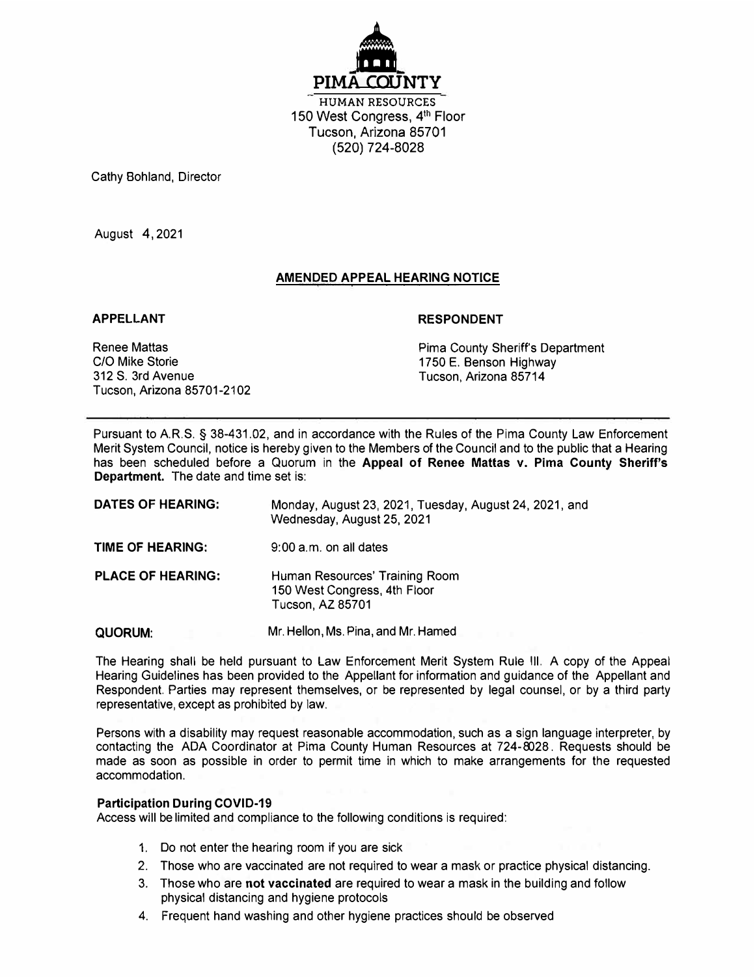

**HUMAN RESOURCES**  150 West Congress, 4<sup>th</sup> Floor Tucson, Arizona 85701 (520) 724-8028

Cathy Bohland, Director

August 4 ,2021

# **AMENDED APPEAL HEARING NOTICE**

### **APPELLANT**

### **RESPONDENT**

Renee Mattas C/0 Mike Storie 312 S. 3rd Avenue Tucson, Arizona 85701-2102 Pima County Sheriff's Department 1750 E. Benson Highway Tucson, Arizona 85714

Pursuant to A.R.S. § 38-431.02 , and in accordance with the Rules of the Pima County Law Enforcement Merit System Council, notice is hereby given to the Members of the Council and to the public that a Hearing has been scheduled before a Quorum in the **Appeal of Renee Mattas v. Pima County Sheriff's Department.** The date and time set is:

| DATES OF HEARING:        | Monday, August 23, 2021, Tuesday, August 24, 2021, and<br>Wednesday, August 25, 2021      |
|--------------------------|-------------------------------------------------------------------------------------------|
| TIME OF HEARING:         | $9:00$ a.m. on all dates                                                                  |
| <b>PLACE OF HEARING:</b> | Human Resources' Training Room<br>150 West Congress, 4th Floor<br><b>Tucson, AZ 85701</b> |
| QUORUM:                  | Mr. Hellon, Ms. Pina, and Mr. Hamed                                                       |

The Hearing shall be held pursuant to Law Enforcement Merit System Rule Ill. A copy of the Appeal Hearing Guidelines has been provided to the Appellant for information and guidance of the Appellant and Respondent. Parties may represent themselves, or be represented by legal counsel, or by a third party representative, except as prohibited by law.

Persons with a disability may request reasonable accommodation, such as a sign language interpreter, by contacting the ADA Coordinator at Pima County Human Resources at 724-8028 . Requests should be made as soon as possible in order to permit time in which to make arrangements for the requested accommodation.

### **Participation During COVID-19**

Access will be limited and compliance to the following conditions is required:

- 1. Do not enter the hearing room if you are sick
- 2. Those who are vaccinated are not required to wear a mask or practice physical distancing.
- 3. Those who are **not vaccinated** are required to wear a mask in the building and follow physical distancing and hygiene protocols
- 4. Frequent hand washing and other hygiene practices should be observed